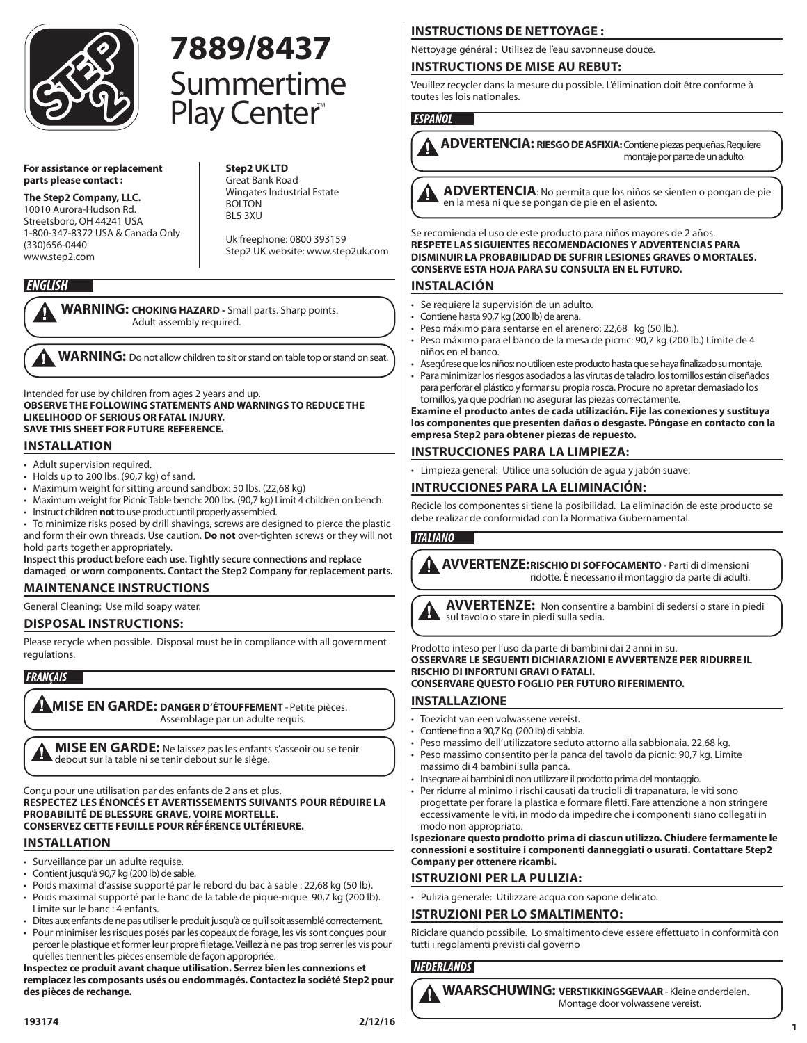

#### **For assistance or replacement parts please contact :**

**The Step2 Company, LLC.**  10010 Aurora-Hudson Rd. Streetsboro, OH 44241 USA 1-800-347-8372 USA & Canada Only (330)656-0440 www.step2.com

#### **Step2 UK LTD** Great Bank Road Wingates Industrial Estate BOLTON BL5 3XU

Summertime

**7889/8437**

Play Center

Uk freephone: 0800 393159 Step2 UK website: www.step2uk.com

## **ENGLISH**

**WARNING: CHOKING HAZARD -** Small parts. Sharp points. Adult assembly required.

**WARNING:** Do not allow children to sit or stand on table top or stand on seat.

Intended for use by children from ages 2 years and up.

**OBSERVE THE FOLLOWING STATEMENTS AND WARNINGS TO REDUCE THE LIKELIHOOD OF SERIOUS OR FATAL INJURY. SAVE THIS SHEET FOR FUTURE REFERENCE.**

## **INSTALLATION**

- Adult supervision required.
- Holds up to 200 lbs. (90,7 kg) of sand.
- Maximum weight for sitting around sandbox: 50 lbs. (22,68 kg)
- Maximum weight for Picnic Table bench: 200 lbs. (90,7 kg) Limit 4 children on bench. • Instruct children **not** to use product until properly assembled.
- 
- To minimize risks posed by drill shavings, screws are designed to pierce the plastic and form their own threads. Use caution. **Do not** over-tighten screws or they will not hold parts together appropriately.

**Inspect this product before each use. Tightly secure connections and replace damaged or worn components. Contact the Step2 Company for replacement parts.**

## **MAINTENANCE INSTRUCTIONS**

General Cleaning: Use mild soapy water.

## **DISPOSAL INSTRUCTIONS:**

Please recycle when possible. Disposal must be in compliance with all government regulations.

## FRANÇAIS

**MISE EN GARDE: DANGER D'ÉTOUFFEMENT - Petite pièces.** Assemblage par un adulte requis.

**MISE EN GARDE:** Ne laissez pas les enfants s'asseoir ou se tenir debout sur la table ni se tenir debout sur le siège.

Conçu pour une utilisation par des enfants de 2 ans et plus. **RESPECTEZ LES ÉNONCÉS ET AVERTISSEMENTS SUIVANTS POUR RÉDUIRE LA PROBABILITÉ DE BLESSURE GRAVE, VOIRE MORTELLE. CONSERVEZ CETTE FEUILLE POUR RÉFÉRENCE ULTÉRIEURE.**

## **INSTALLATION**

- Surveillance par un adulte requise.
- Contient jusqu'à 90,7 kg (200 lb) de sable.
- Poids maximal d'assise supporté par le rebord du bac à sable : 22,68 kg (50 lb).
- Poids maximal supporté par le banc de la table de pique-nique 90,7 kg (200 lb). Limite sur le banc : 4 enfants.
- Dites aux enfants de ne pas utiliser le produit jusqu'à ce qu'il soit assemblé correctement.
- Pour minimiser les risques posés par les copeaux de forage, les vis sont conçues pour percer le plastique et former leur propre filetage. Veillez à ne pas trop serrer les vis pour qu'elles tiennent les pièces ensemble de façon appropriée.

**Inspectez ce produit avant chaque utilisation. Serrez bien les connexions et remplacez les composants usés ou endommagés. Contactez la société Step2 pour des pièces de rechange.**

## **INSTRUCTIONS DE NETTOYAGE :**

Nettoyage général : Utilisez de l'eau savonneuse douce.

## **INSTRUCTIONS DE MISE AU REBUT:**

Veuillez recycler dans la mesure du possible. L'élimination doit être conforme à toutes les lois nationales.

## **ESPAÑOL**



**ADVERTENCIA: RIESGO DE ASFIXIA:** Contiene piezas pequeñas. Requiere montaje por parte de un adulto.

**ADVERTENCIA**: No permita que los niños se sienten o pongan de pie en la mesa ni que se pongan de pie en el asiento.

Se recomienda el uso de este producto para niños mayores de 2 años. **RESPETE LAS SIGUIENTES RECOMENDACIONES Y ADVERTENCIAS PARA DISMINUIR LA PROBABILIDAD DE SUFRIR LESIONES GRAVES O MORTALES. CONSERVE ESTA HOJA PARA SU CONSULTA EN EL FUTURO.** 

## **INSTALACIÓN**

- Se requiere la supervisión de un adulto.
- Contiene hasta 90,7 kg (200 lb) de arena.
- Peso máximo para sentarse en el arenero: 22,68 kg (50 lb.).
- Peso máximo para el banco de la mesa de picnic: 90,7 kg (200 lb.) Límite de 4 niños en el banco.
- Asegúrese que los niños: no utilicen este producto hasta que se haya finalizado su montaje. • Para minimizar los riesgos asociados a las virutas de taladro, los tornillos están diseñados
- para perforar el plástico y formar su propia rosca. Procure no apretar demasiado los tornillos, ya que podrían no asegurar las piezas correctamente.

**Examine el producto antes de cada utilización. Fije las conexiones y sustituya los componentes que presenten daños o desgaste. Póngase en contacto con la empresa Step2 para obtener piezas de repuesto.**

## **INSTRUCCIONES PARA LA LIMPIEZA:**

• Limpieza general: Utilice una solución de agua y jabón suave.

## **INTRUCCIONES PARA LA ELIMINACIÓN:**

Recicle los componentes si tiene la posibilidad. La eliminación de este producto se debe realizar de conformidad con la Normativa Gubernamental.

## **ITALIANO**

**AVVERTENZE:RISCHIO DI SOFFOCAMENTO** - Parti di dimensioni ridotte. È necessario il montaggio da parte di adulti.



**AVVERTENZE:** Non consentire a bambini di sedersi o stare in piedi sul tavolo o stare in piedi sulla sedia.

Prodotto inteso per l'uso da parte di bambini dai 2 anni in su. **OSSERVARE LE SEGUENTI DICHIARAZIONI E AVVERTENZE PER RIDURRE IL RISCHIO DI INFORTUNI GRAVI O FATALI. CONSERVARE QUESTO FOGLIO PER FUTURO RIFERIMENTO.**

## **INSTALLAZIONE**

- Toezicht van een volwassene vereist.
- Contiene fino a 90,7 Kg. (200 lb) di sabbia.
- Peso massimo dell'utilizzatore seduto attorno alla sabbionaia. 22,68 kg.
- Peso massimo consentito per la panca del tavolo da picnic: 90,7 kg. Limite massimo di 4 bambini sulla panca.
- Insegnare ai bambini di non utilizzare il prodotto prima del montaggio.
- Per ridurre al minimo i rischi causati da trucioli di trapanatura, le viti sono progettate per forare la plastica e formare filetti. Fare attenzione a non stringere eccessivamente le viti, in modo da impedire che i componenti siano collegati in modo non appropriato.

**Ispezionare questo prodotto prima di ciascun utilizzo. Chiudere fermamente le connessioni e sostituire i componenti danneggiati o usurati. Contattare Step2 Company per ottenere ricambi.**

## **ISTRUZIONI PER LA PULIZIA:**

• Pulizia generale: Utilizzare acqua con sapone delicato.

## **ISTRUZIONI PER LO SMALTIMENTO:**

Riciclare quando possibile. Lo smaltimento deve essere effettuato in conformità con tutti i regolamenti previsti dal governo

## **NEDERLANDS**

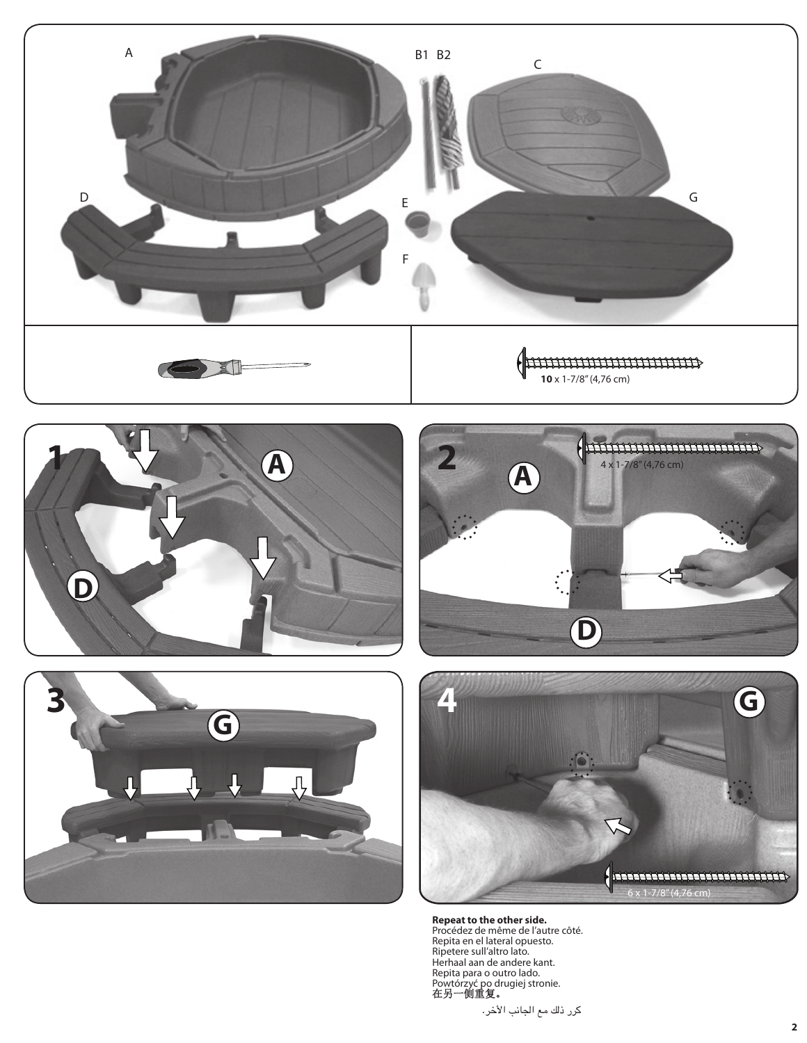









**Repeat to the other side.** Procédez de même de l'autre côté. Repita en el lateral opuesto. Ripetere sull'altro lato. Herhaal aan de andere kant. Repita para o outro lado. Powtórzyć po drugiej stronie. 在另一侧重复。

كرر ذلك مع الجانب الأخر.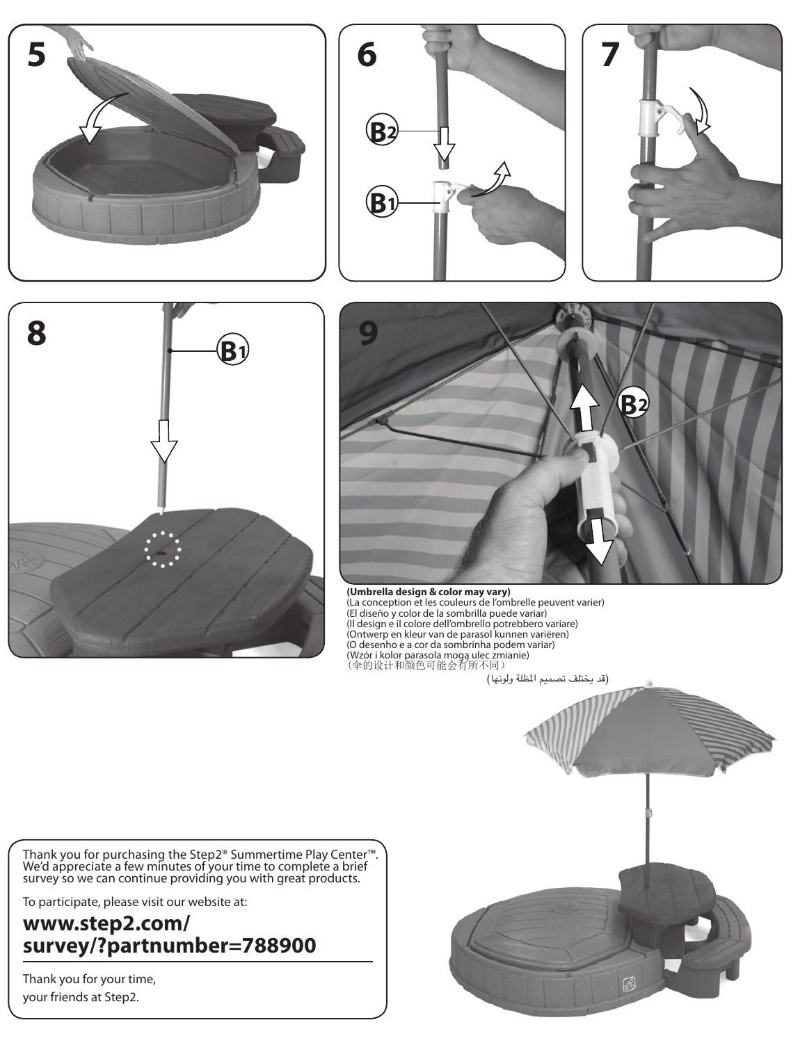









#### **(Umbrella design & color may vary)**

(La conception et les couleurs de l'ombrelle peuvent varier) (El diseño y color de la sombrilla puede variar) (Il design e il colore dell'ombrello potrebbero variare) (Ontwerp en kleur van de parasol kunnen variëren) (O desenho e a cor da sombrinha podem variar) (Wzór i kolor parasola mogą ulec zmianie) (伞的设计和颜色可能会有所不同)

Thank you for purchasing the Step2® Summertime Play Center™. We'd appreciate a few minutes of your time to complete a brief survey so we can continue providing you with great products.

To participate, please visit our website at:

## **www.step2.com/ survey/?partnumber=788900**

Thank you for your time, your friends at Step2.